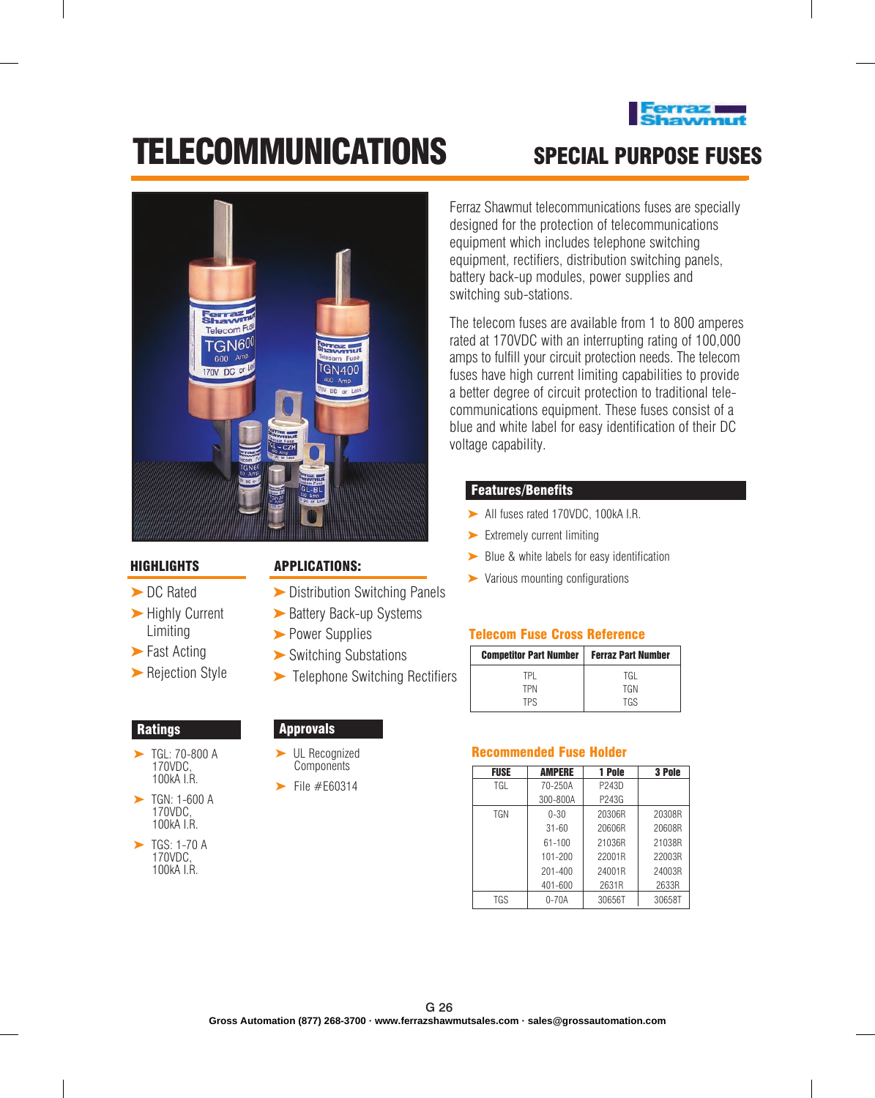

# TELECOMMUNICATIONS SPECIAL PURPOSE Fuses



#### HIGHLIGHTS

- ► DC Rated
- ► Highly Current Limiting
- ► Fast Acting
- ► Rejection Style

#### **Ratings**

- ► TGL: 70-800 A 170VDC, 100kA I.R.
- TGN: 1-600 A 170VDC, 100kA I.R. ➤
- $\blacktriangleright$  TGS: 1-70 A 170VDC, 100kA I.R.

## APPLICATIONS:

- ► Distribution Switching Panels
- ► Battery Back-up Systems
- ► Power Supplies
- ► Switching Substations
- ► Telephone Switching Rectifiers

### Approvals

- ► UL Recognized **Components**
- File #E60314 ➤

Ferraz Shawmut telecommunications fuses are specially designed for the protection of telecommunications equipment which includes telephone switching equipment, rectifiers, distribution switching panels, battery back-up modules, power supplies and switching sub-stations.

The telecom fuses are available from 1 to 800 amperes rated at 170VDC with an interrupting rating of 100,000 amps to fulfill your circuit protection needs. The telecom fuses have high current limiting capabilities to provide a better degree of circuit protection to traditional telecommunications equipment. These fuses consist of a blue and white label for easy identification of their DC voltage capability.

### Features/Benefits

- ► All fuses rated 170VDC, 100kA I.R.
- ► Extremely current limiting
- ► Blue & white labels for easy identification
- ► Various mounting configurations

#### Telecom Fuse Cross Reference

| <b>Competitor Part Number</b> | <b>Ferraz Part Number</b> |  |
|-------------------------------|---------------------------|--|
| TPI                           | TGI                       |  |
| TPN                           | <b>TGN</b>                |  |
| TPS                           | TGS                       |  |

#### Recommended Fuse Holder

| <b>FUSE</b> | <b>AMPERE</b> | 1 Pole | 3 Pole |
|-------------|---------------|--------|--------|
| TGL         | 70-250A       | P243D  |        |
|             | 300-800A      | P243G  |        |
| <b>TGN</b>  | $0 - 30$      | 20306R | 20308R |
|             | $31 - 60$     | 20606R | 20608R |
|             | 61-100        | 21036R | 21038R |
|             | $101 - 200$   | 22001R | 22003R |
|             | $201 - 400$   | 24001R | 24003R |
|             | 401-600       | 2631R  | 2633R  |
| TGS         | $0 - 70A$     | 30656T | 30658T |